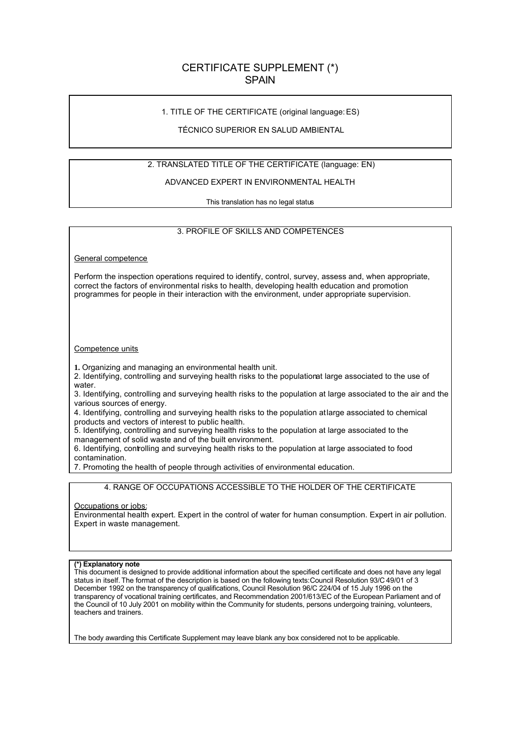# CERTIFICATE SUPPLEMENT (\*) SPAIN

### 1. TITLE OF THE CERTIFICATE (original language:ES)

### TÉCNICO SUPERIOR EN SALUD AMBIENTAL

## 2. TRANSLATED TITLE OF THE CERTIFICATE (language: EN)

### ADVANCED EXPERT IN ENVIRONMENTAL HEALTH

This translation has no legal status

#### 3. PROFILE OF SKILLS AND COMPETENCES

General competence

Perform the inspection operations required to identify, control, survey, assess and, when appropriate, correct the factors of environmental risks to health, developing health education and promotion programmes for people in their interaction with the environment, under appropriate supervision.

#### Competence units

**1.** Organizing and managing an environmental health unit.

2. Identifying, controlling and surveying health risks to the populationat large associated to the use of water.

3. Identifying, controlling and surveying health risks to the population at large associated to the air and the various sources of energy.

4. Identifying, controlling and surveying health risks to the population at large associated to chemical products and vectors of interest to public health.

5. Identifying, controlling and surveying health risks to the population at large associated to the management of solid waste and of the built environment.

6. Identifying, controlling and surveying health risks to the population at large associated to food contamination.

7. Promoting the health of people through activities of environmental education.

4. RANGE OF OCCUPATIONS ACCESSIBLE TO THE HOLDER OF THE CERTIFICATE

#### Occupations or jobs:

Environmental health expert. Expert in the control of water for human consumption. Expert in air pollution. Expert in waste management.

#### **(\*) Explanatory note**

This document is designed to provide additional information about the specified certificate and does not have any legal status in itself. The format of the description is based on the following texts:Council Resolution 93/C 49/01 of 3 December 1992 on the transparency of qualifications, Council Resolution 96/C 224/04 of 15 July 1996 on the transparency of vocational training certificates, and Recommendation 2001/613/EC of the European Parliament and of the Council of 10 July 2001 on mobility within the Community for students, persons undergoing training, volunteers, teachers and trainers.

The body awarding this Certificate Supplement may leave blank any box considered not to be applicable.